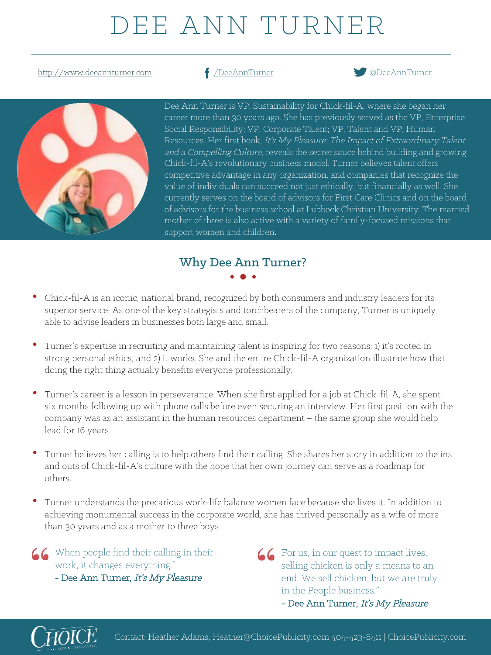# DEE ANN TURNER

http://www.deeannturner.com **f** /DeeAnnTurner **bluesses** @DeeAnnTurner





Dee Ann Turner is VP, Sustainability for Chick-fil-A, where she began her career more than 30 years ago. She has previously served as the VP, Enterprise Social Responsibility; VP, Corporate Talent; VP, Talent and VP, Human Resources. Her first book, It's My Pleasure: The Impact of Extraordinary Talent and a Compelling Culture, reveals the secret sauce behind building and growing Chick-fil-A's revolutionary business model. Turner believes talent offers competitive advantage in any organization, and companies that recognize the value of individuals can succeed not just ethically, but financially as well. She currently serves on the board of advisors for First Care Clinics and on the board of advisors for the business school at Lubbock Christian University. The married mother of three is also active with a variety of family-focused missions that support women and children. 

## Why Dee Ann Turner?

- Chick-fil-A is an iconic, national brand, recognized by both consumers and industry leaders for its superior service. As one of the key strategists and torchbearers of the company, Turner is uniquely able to advise leaders in businesses both large and small.
- Turner's expertise in recruiting and maintaining talent is inspiring for two reasons: 1) it's rooted in strong personal ethics, and 2) it works. She and the entire Chick-fil-A organization illustrate how that doing the right thing actually benefits everyone professionally.
- Turner's career is a lesson in perseverance. When she first applied for a job at Chick-fil-A, she spent six months following up with phone calls before even securing an interview. Her first position with the company was as an assistant in the human resources department – the same group she would help lead for 16 years.
- Turner believes her calling is to help others find their calling. She shares her story in addition to the ins and outs of Chick-fil-A's culture with the hope that her own journey can serve as a roadmap for others.
- Turner understands the precarious work-life balance women face because she lives it. In addition to achieving monumental success in the corporate world, she has thrived personally as a wife of more than 30 years and as a mother to three boys.

When people find their calling in their work, it changes everything."

- Dee Ann Turner, It's My Pleasure
- For us, in our quest to impact lives, selling chicken is only a means to an end. We sell chicken, but we are truly in the People business."





Contact: Heather Adams, Heather@ChoicePublicity.com 404-423-8411 | ChoicePublicity.com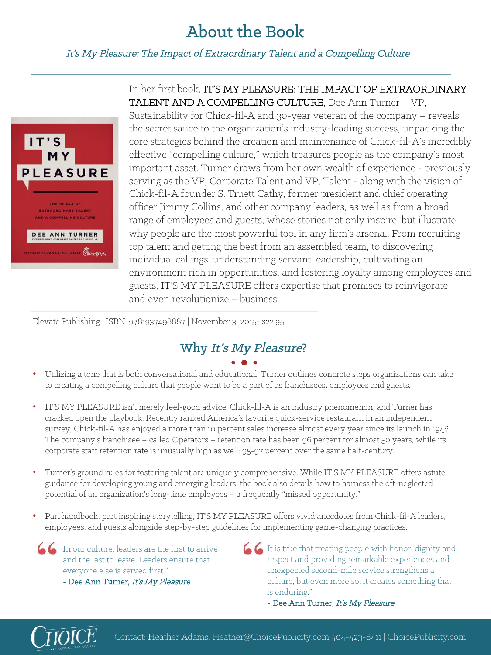## About the Book

#### It's My Pleasure: The Impact of Extraordinary Talent and a Compelling Culture



#### In her first book, IT'S MY PLEASURE: THE IMPACT OF EXTRAORDINARY TALENT AND A COMPELLING CULTURE, Dee Ann Turner – VP,

Sustainability for Chick-fil-A and 30-year veteran of the company – reveals the secret sauce to the organization's industry-leading success, unpacking the core strategies behind the creation and maintenance of Chick-fil-A's incredibly effective "compelling culture," which treasures people as the company's most important asset. Turner draws from her own wealth of experience - previously serving as the VP, Corporate Talent and VP, Talent - along with the vision of Chick-fil-A founder S. Truett Cathy, former president and chief operating officer Jimmy Collins, and other company leaders, as well as from a broad range of employees and guests, whose stories not only inspire, but illustrate why people are the most powerful tool in any firm's arsenal. From recruiting top talent and getting the best from an assembled team, to discovering individual callings, understanding servant leadership, cultivating an environment rich in opportunities, and fostering loyalty among employees and guests, IT'S MY PLEASURE offers expertise that promises to reinvigorate – and even revolutionize – business.

Elevate Publishing | ISBN: 9781937498887 | November 3, 2015- \$22.95

## Why It's My Pleasure?

#### • Utilizing a tone that is both conversational and educational, Turner outlines concrete steps organizations can take to creating a compelling culture that people want to be a part of as franchisees, employees and guests.

- IT'S MY PLEASURE isn't merely feel-good advice: Chick-fil-A is an industry phenomenon, and Turner has cracked open the playbook. Recently ranked America's favorite quick-service restaurant in an independent survey, Chick-fil-A has enjoyed a more than 10 percent sales increase almost every year since its launch in 1946. The company's franchisee – called Operators – retention rate has been 96 percent for almost 50 years, while its corporate staff retention rate is unusually high as well: 95-97 percent over the same half-century.
- Turner's ground rules for fostering talent are uniquely comprehensive. While IT'S MY PLEASURE offers astute guidance for developing young and emerging leaders, the book also details how to harness the oft-neglected potential of an organization's long-time employees – a frequently "missed opportunity."
- Part handbook, part inspiring storytelling, IT'S MY PLEASURE offers vivid anecdotes from Chick-fil-A leaders, employees, and guests alongside step-by-step guidelines for implementing game-changing practices.

In our culture, leaders are the first to arrive and the last to leave. Leaders ensure that everyone else is served first." - Dee Ann Turner, It's My Pleasure

It is true that treating people with honor, dignity and respect and providing remarkable experiences and unexpected second-mile service strengthens a culture, but even more so, it creates something that is enduring."